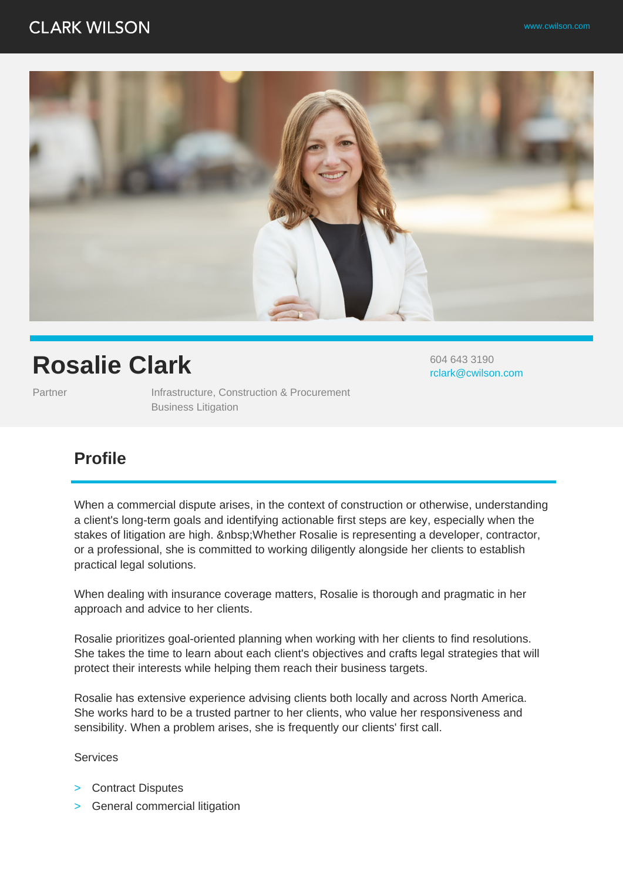## **CLARK WILSON**



# **Rosalie Clark**

604 643 3190 rclark@cwilson.com

Partner **Infrastructure, Construction & Procurement** Business Litigation

### **Profile**

When a commercial dispute arises, in the context of construction or otherwise, understanding a client's long-term goals and identifying actionable first steps are key, especially when the stakes of litigation are high. Whether Rosalie is representing a developer, contractor, or a professional, she is committed to working diligently alongside her clients to establish practical legal solutions.

When dealing with insurance coverage matters, Rosalie is thorough and pragmatic in her approach and advice to her clients.

Rosalie prioritizes goal-oriented planning when working with her clients to find resolutions. She takes the time to learn about each client's objectives and crafts legal strategies that will protect their interests while helping them reach their business targets.

Rosalie has extensive experience advising clients both locally and across North America. She works hard to be a trusted partner to her clients, who value her responsiveness and sensibility. When a problem arises, she is frequently our clients' first call.

Services

- > Contract Disputes
- > General commercial litigation